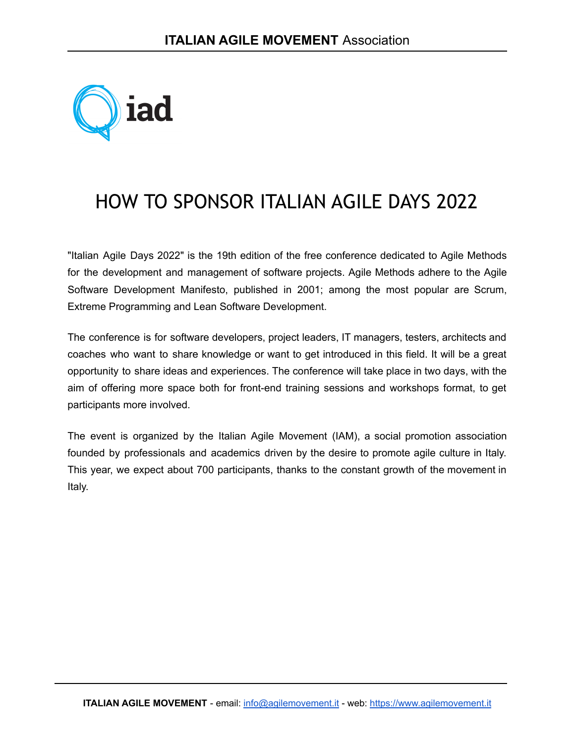

# HOW TO SPONSOR ITALIAN AGILE DAYS 2022

"Italian Agile Days 2022" is the 19th edition of the free conference dedicated to Agile Methods for the development and management of software projects. Agile Methods adhere to the Agile Software Development Manifesto, published in 2001; among the most popular are Scrum, Extreme Programming and Lean Software Development.

The conference is for software developers, project leaders, IT managers, testers, architects and coaches who want to share knowledge or want to get introduced in this field. It will be a great opportunity to share ideas and experiences. The conference will take place in two days, with the aim of offering more space both for front-end training sessions and workshops format, to get participants more involved.

The event is organized by the Italian Agile Movement (IAM), a social promotion association founded by professionals and academics driven by the desire to promote agile culture in Italy. This year, we expect about 700 participants, thanks to the constant growth of the movement in Italy.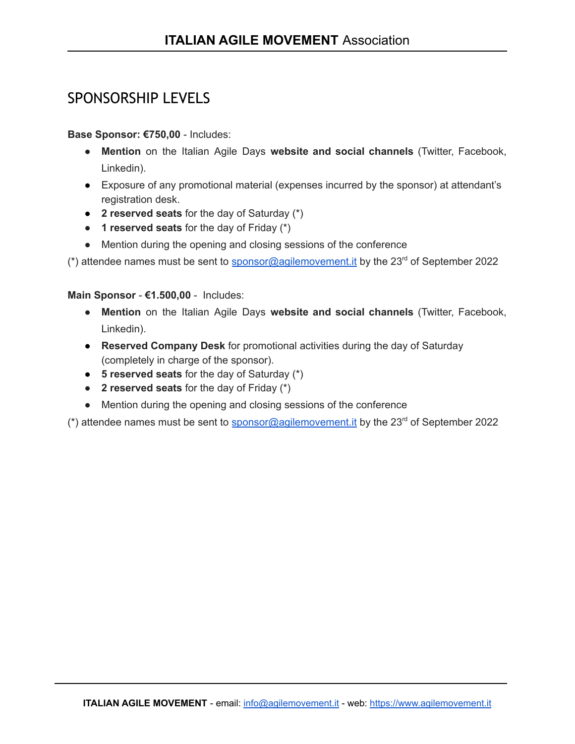# SPONSORSHIP LEVELS

### **Base Sponsor: €750,00** - Includes:

- **Mention** on the Italian Agile Days **website and social channels** (Twitter, Facebook, Linkedin).
- Exposure of any promotional material (expenses incurred by the sponsor) at attendant's registration desk.
- **2 reserved seats** for the day of Saturday (\*)
- **1 reserved seats** for the day of Friday (\*)
- Mention during the opening and closing sessions of the conference

 $(*)$  attendee names must be sent to sponsor@agilemovement. it by the 23<sup>rd</sup> of September 2022

#### **Main Sponsor** - **€1.500,00** - Includes:

- **Mention** on the Italian Agile Days **website and social channels** (Twitter, Facebook, Linkedin).
- **Reserved Company Desk** for promotional activities during the day of Saturday (completely in charge of the sponsor).
- **5 reserved seats** for the day of Saturday (\*)
- **2 reserved seats** for the day of Friday (\*)
- Mention during the opening and closing sessions of the conference

 $(*)$  attendee names must be sent to sponsor@agilemovement. it by the 23<sup>rd</sup> of September 2022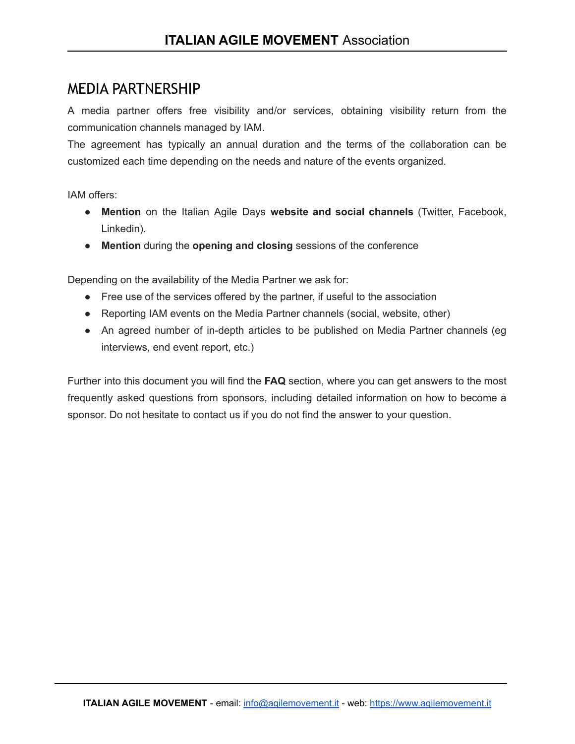## MEDIA PARTNERSHIP

A media partner offers free visibility and/or services, obtaining visibility return from the communication channels managed by IAM.

The agreement has typically an annual duration and the terms of the collaboration can be customized each time depending on the needs and nature of the events organized.

IAM offers:

- **Mention** on the Italian Agile Days **website and social channels** (Twitter, Facebook, Linkedin).
- **Mention** during the **opening and closing** sessions of the conference

Depending on the availability of the Media Partner we ask for:

- Free use of the services offered by the partner, if useful to the association
- Reporting IAM events on the Media Partner channels (social, website, other)
- An agreed number of in-depth articles to be published on Media Partner channels (eg interviews, end event report, etc.)

Further into this document you will find the **FAQ** section, where you can get answers to the most frequently asked questions from sponsors, including detailed information on how to become a sponsor. Do not hesitate to contact us if you do not find the answer to your question.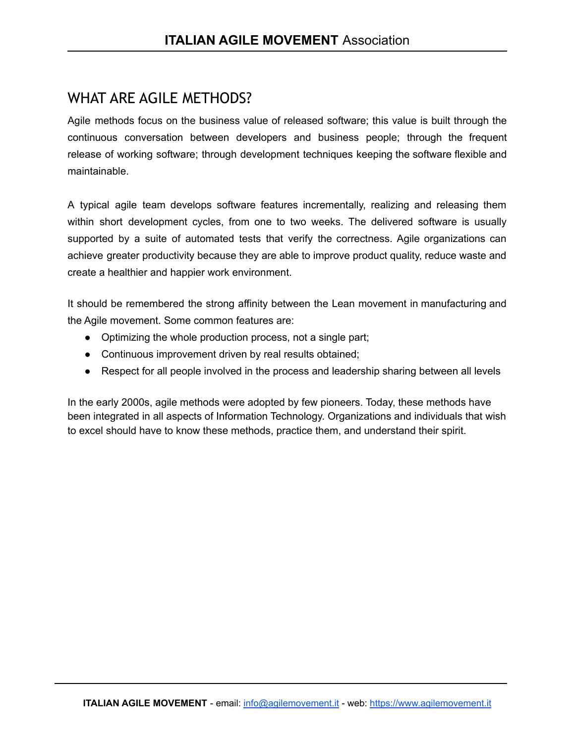# WHAT ARE AGILE METHODS?

Agile methods focus on the business value of released software; this value is built through the continuous conversation between developers and business people; through the frequent release of working software; through development techniques keeping the software flexible and maintainable.

A typical agile team develops software features incrementally, realizing and releasing them within short development cycles, from one to two weeks. The delivered software is usually supported by a suite of automated tests that verify the correctness. Agile organizations can achieve greater productivity because they are able to improve product quality, reduce waste and create a healthier and happier work environment.

It should be remembered the strong affinity between the Lean movement in manufacturing and the Agile movement. Some common features are:

- Optimizing the whole production process, not a single part;
- Continuous improvement driven by real results obtained;
- Respect for all people involved in the process and leadership sharing between all levels

In the early 2000s, agile methods were adopted by few pioneers. Today, these methods have been integrated in all aspects of Information Technology. Organizations and individuals that wish to excel should have to know these methods, practice them, and understand their spirit.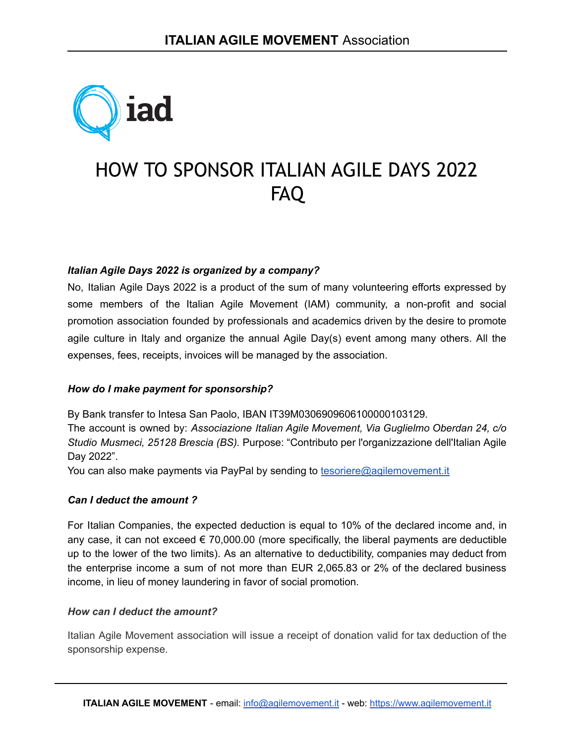

# HOW TO SPONSOR ITALIAN AGILE DAYS 2022 FAQ

#### *Italian Agile Days 2022 is organized by a company?*

No, Italian Agile Days 2022 is a product of the sum of many volunteering efforts expressed by some members of the Italian Agile Movement (IAM) community, a non-profit and social promotion association founded by professionals and academics driven by the desire to promote agile culture in Italy and organize the annual Agile Day(s) event among many others. All the expenses, fees, receipts, invoices will be managed by the association.

#### *How do I make payment for sponsorship?*

By Bank transfer to Intesa San Paolo, IBAN IT39M0306909606100000103129.

The account is owned by: *Associazione Italian Agile Movement, Via Guglielmo Oberdan 24, c/o Studio Musmeci, 25128 Brescia (BS).* Purpose: "Contributo per l'organizzazione dell'Italian Agile Day 2022".

You can also make payments via PayPal by sending to [tesoriere@agilemovement.it](mailto:tesoriere@agilemovement.it)

#### *Can I deduct the amount ?*

For Italian Companies, the expected deduction is equal to 10% of the declared income and, in any case, it can not exceed  $\epsilon$  70,000.00 (more specifically, the liberal payments are deductible up to the lower of the two limits). As an alternative to deductibility, companies may deduct from the enterprise income a sum of not more than EUR 2,065.83 or 2% of the declared business income, in lieu of money laundering in favor of social promotion.

#### *How can I deduct the amount?*

Italian Agile Movement association will issue a receipt of donation valid for tax deduction of the sponsorship expense.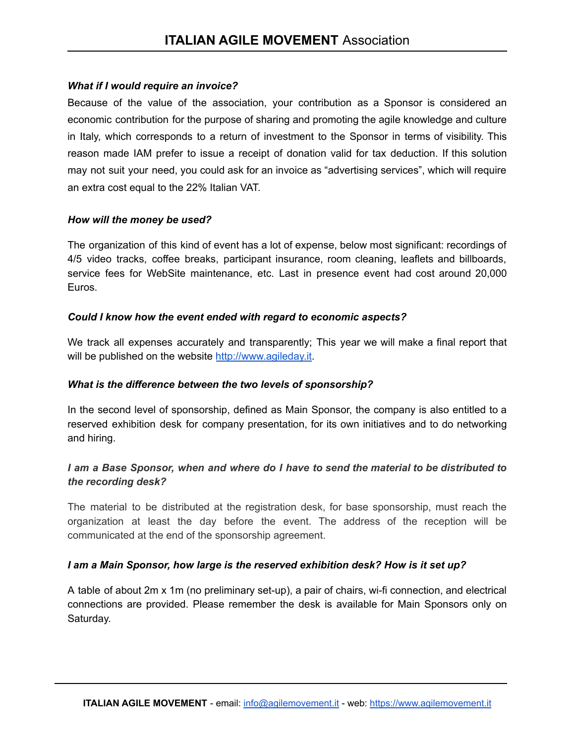#### *What if I would require an invoice?*

Because of the value of the association, your contribution as a Sponsor is considered an economic contribution for the purpose of sharing and promoting the agile knowledge and culture in Italy, which corresponds to a return of investment to the Sponsor in terms of visibility. This reason made IAM prefer to issue a receipt of donation valid for tax deduction. If this solution may not suit your need, you could ask for an invoice as "advertising services", which will require an extra cost equal to the 22% Italian VAT.

#### *How will the money be used?*

The organization of this kind of event has a lot of expense, below most significant: recordings of 4/5 video tracks, coffee breaks, participant insurance, room cleaning, leaflets and billboards, service fees for WebSite maintenance, etc. Last in presence event had cost around 20,000 Euros.

#### *Could I know how the event ended with regard to economic aspects?*

We track all expenses accurately and transparently; This year we will make a final report that will be published on the website <http://www.agileday.it>.

#### *What is the difference between the two levels of sponsorship?*

In the second level of sponsorship, defined as Main Sponsor, the company is also entitled to a reserved exhibition desk for company presentation, for its own initiatives and to do networking and hiring.

### *I am a Base Sponsor, when and where do I have to send the material to be distributed to the recording desk?*

The material to be distributed at the registration desk, for base sponsorship, must reach the organization at least the day before the event. The address of the reception will be communicated at the end of the sponsorship agreement.

#### *I am a Main Sponsor, how large is the reserved exhibition desk? How is it set up?*

A table of about 2m x 1m (no preliminary set-up), a pair of chairs, wi-fi connection, and electrical connections are provided. Please remember the desk is available for Main Sponsors only on Saturday.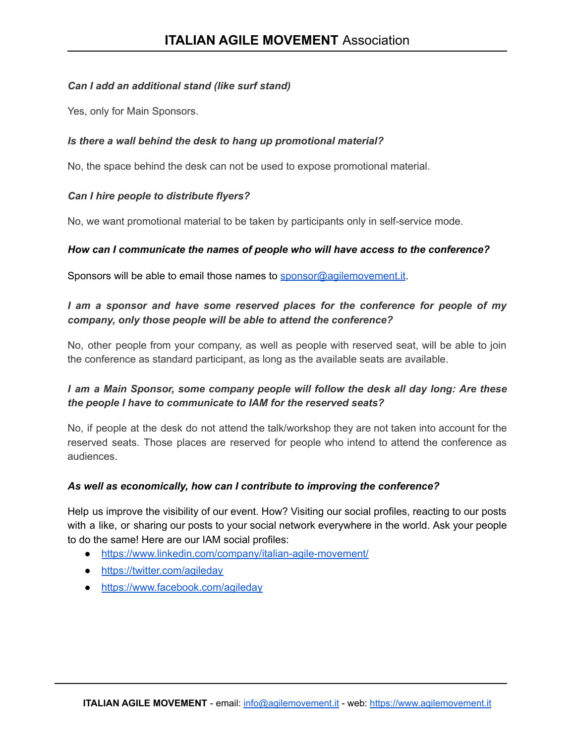#### *Can I add an additional stand (like surf stand)*

Yes, only for Main Sponsors.

#### *Is there a wall behind the desk to hang up promotional material?*

No, the space behind the desk can not be used to expose promotional material.

### *Can I hire people to distribute flyers?*

No, we want promotional material to be taken by participants only in self-service mode.

#### *How can I communicate the names of people who will have access to the conference?*

Sponsors will be able to email those names to [sponsor@agilemovement.it](mailto:sponsor@agilemovement.it).

## *I am a sponsor and have some reserved places for the conference for people of my company, only those people will be able to attend the conference?*

No, other people from your company, as well as people with reserved seat, will be able to join the conference as standard participant, as long as the available seats are available.

### *I am a Main Sponsor, some company people will follow the desk all day long: Are these the people I have to communicate to IAM for the reserved seats?*

No, if people at the desk do not attend the talk/workshop they are not taken into account for the reserved seats. Those places are reserved for people who intend to attend the conference as audiences.

#### *As well as economically, how can I contribute to improving the conference?*

Help us improve the visibility of our event. How? Visiting our social profiles, reacting to our posts with a like, or sharing our posts to your social network everywhere in the world. Ask your people to do the same! Here are our IAM social profiles:

- <https://www.linkedin.com/company/italian-agile-movement/>
- <https://twitter.com/agileday>
- <https://www.facebook.com/agileday>